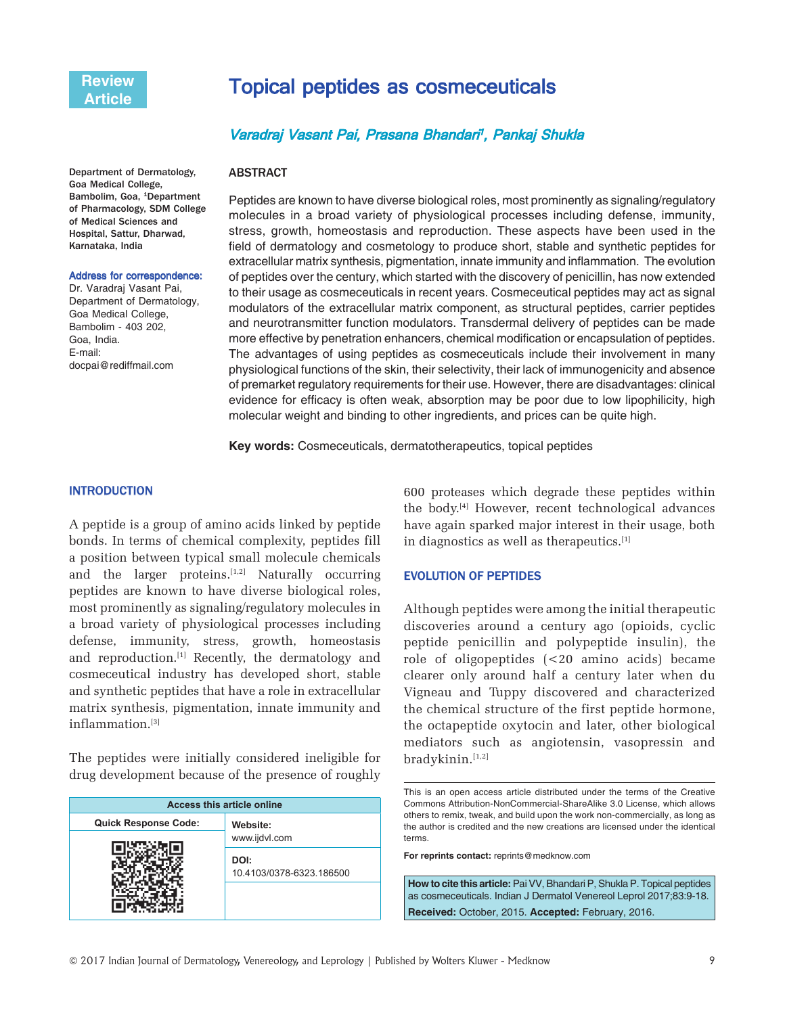Department of Dermatology, Goa Medical College, Bambolim, Goa, <sup>1</sup>Department of Pharmacology, SDM College of Medical Sciences and Hospital, Sattur, Dharwad, Karnataka, India

#### Address for correspondence:

Dr. Varadraj Vasant Pai, Department of Dermatology, Goa Medical College, Bambolim - 403 202, Goa, India. E-mail: docpai@rediffmail.com

# Topical peptides as cosmeceuticals

# Varadraj Vasant Pai, Prasana Bhandari<sup>1</sup>, Pankaj Shukla

#### ABSTRACT

Peptides are known to have diverse biological roles, most prominently as signaling/regulatory molecules in a broad variety of physiological processes including defense, immunity, stress, growth, homeostasis and reproduction. These aspects have been used in the field of dermatology and cosmetology to produce short, stable and synthetic peptides for extracellular matrix synthesis, pigmentation, innate immunity and inflammation. The evolution of peptides over the century, which started with the discovery of penicillin, has now extended to their usage as cosmeceuticals in recent years. Cosmeceutical peptides may act as signal modulators of the extracellular matrix component, as structural peptides, carrier peptides and neurotransmitter function modulators. Transdermal delivery of peptides can be made more effective by penetration enhancers, chemical modification or encapsulation of peptides. The advantages of using peptides as cosmeceuticals include their involvement in many physiological functions of the skin, their selectivity, their lack of immunogenicity and absence of premarket regulatory requirements for their use. However, there are disadvantages: clinical evidence for efficacy is often weak, absorption may be poor due to low lipophilicity, high molecular weight and binding to other ingredients, and prices can be quite high.

**Key words:** Cosmeceuticals, dermatotherapeutics, topical peptides

### **INTRODUCTION**

A peptide is a group of amino acids linked by peptide bonds. In terms of chemical complexity, peptides fill a position between typical small molecule chemicals and the larger proteins. $[1,2]$  Naturally occurring peptides are known to have diverse biological roles, most prominently as signaling/regulatory molecules in a broad variety of physiological processes including defense, immunity, stress, growth, homeostasis and reproduction.<sup>[1]</sup> Recently, the dermatology and cosmeceutical industry has developed short, stable and synthetic peptides that have a role in extracellular matrix synthesis, pigmentation, innate immunity and inflammation.[3]

The peptides were initially considered ineligible for drug development because of the presence of roughly

| <b>Access this article online</b> |                                  |  |
|-----------------------------------|----------------------------------|--|
| <b>Quick Response Code:</b>       | Website:                         |  |
|                                   | www.ijdvl.com                    |  |
|                                   | DOI:<br>10.4103/0378-6323.186500 |  |
|                                   |                                  |  |

600 proteases which degrade these peptides within the body.[4] However, recent technological advances have again sparked major interest in their usage, both in diagnostics as well as therapeutics.<sup>[1]</sup>

### **EVOLUTION OF PEPTIDES**

Although peptides were among the initial therapeutic discoveries around a century ago (opioids, cyclic peptide penicillin and polypeptide insulin), the role of oligopeptides (<20 amino acids) became clearer only around half a century later when du Vigneau and Tuppy discovered and characterized the chemical structure of the first peptide hormone, the octapeptide oxytocin and later, other biological mediators such as angiotensin, vasopressin and bradykinin.<sup>[1,2]</sup>

**For reprints contact:** reprints@medknow.com

**How to cite this article:** Pai VV, Bhandari P, Shukla P. Topical peptides as cosmeceuticals. Indian J Dermatol Venereol Leprol 2017;83:9-18. **Received:** October, 2015. **Accepted:** February, 2016.

This is an open access article distributed under the terms of the Creative Commons Attribution-NonCommercial-ShareAlike 3.0 License, which allows others to remix, tweak, and build upon the work non-commercially, as long as the author is credited and the new creations are licensed under the identical terms.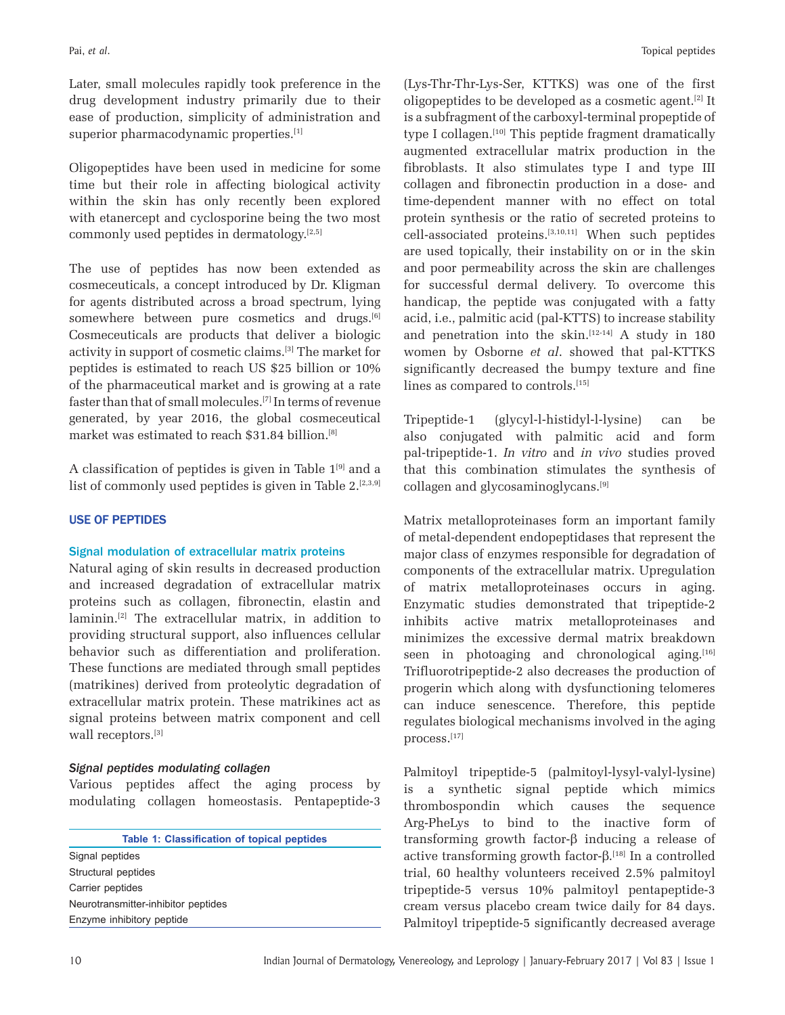Later, small molecules rapidly took preference in the drug development industry primarily due to their ease of production, simplicity of administration and superior pharmacodynamic properties.<sup>[1]</sup>

Oligopeptides have been used in medicine for some time but their role in affecting biological activity within the skin has only recently been explored with etanercept and cyclosporine being the two most commonly used peptides in dermatology. $[2,5]$ 

The use of peptides has now been extended as cosmeceuticals, a concept introduced by Dr. Kligman for agents distributed across a broad spectrum, lying somewhere between pure cosmetics and drugs.<sup>[6]</sup> Cosmeceuticals are products that deliver a biologic activity in support of cosmetic claims.[3] The market for peptides is estimated to reach US \$25 billion or 10% of the pharmaceutical market and is growing at a rate faster than that of small molecules.[7] In terms of revenue generated, by year 2016, the global cosmeceutical market was estimated to reach \$31.84 billion.[8]

A classification of peptides is given in Table  $1^{[9]}$  and a list of commonly used peptides is given in Table  $2.^{[2,3,9]}$ 

# **USE OF PEPTIDES**

# Signal modulation of extracellular matrix proteins

Natural aging of skin results in decreased production and increased degradation of extracellular matrix proteins such as collagen, fibronectin, elastin and laminin.[2] The extracellular matrix, in addition to providing structural support, also influences cellular behavior such as differentiation and proliferation. These functions are mediated through small peptides (matrikines) derived from proteolytic degradation of extracellular matrix protein. These matrikines act as signal proteins between matrix component and cell wall receptors.<sup>[3]</sup>

# *Signal peptides modulating collagen*

Various peptides affect the aging process by modulating collagen homeostasis. Pentapeptide-3

**Table 1: Classification of topical peptides** Signal peptides Structural peptides Carrier peptides Neurotransmitter-inhibitor peptides Enzyme inhibitory peptide

(Lys-Thr-Thr-Lys-Ser, KTTKS) was one of the first oligopeptides to be developed as a cosmetic agent.[2] It is a subfragment of the carboxyl-terminal propeptide of type I collagen.<sup>[10]</sup> This peptide fragment dramatically augmented extracellular matrix production in the fibroblasts. It also stimulates type I and type III collagen and fibronectin production in a dose- and time-dependent manner with no effect on total protein synthesis or the ratio of secreted proteins to cell-associated proteins.[3,10,11] When such peptides are used topically, their instability on or in the skin and poor permeability across the skin are challenges for successful dermal delivery. To overcome this handicap, the peptide was conjugated with a fatty acid, i.e., palmitic acid (pal-KTTS) to increase stability and penetration into the skin.<sup>[12-14]</sup> A study in 180 women by Osborne *et al*. showed that pal-KTTKS significantly decreased the bumpy texture and fine lines as compared to controls.<sup>[15]</sup>

Tripeptide-1 (glycyl-l-histidyl-l-lysine) can be also conjugated with palmitic acid and form pal-tripeptide-1. *In vitro* and *in vivo* studies proved that this combination stimulates the synthesis of collagen and glycosaminoglycans.[9]

Matrix metalloproteinases form an important family of metal-dependent endopeptidases that represent the major class of enzymes responsible for degradation of components of the extracellular matrix. Upregulation of matrix metalloproteinases occurs in aging. Enzymatic studies demonstrated that tripeptide-2 inhibits active matrix metalloproteinases and minimizes the excessive dermal matrix breakdown seen in photoaging and chronological aging. $[16]$ Trifluorotripeptide-2 also decreases the production of progerin which along with dysfunctioning telomeres can induce senescence. Therefore, this peptide regulates biological mechanisms involved in the aging process.[17]

Palmitoyl tripeptide-5 (palmitoyl-lysyl-valyl-lysine) is a synthetic signal peptide which mimics thrombospondin which causes the sequence Arg-PheLys to bind to the inactive form of transforming growth factor-β inducing a release of active transforming growth factor-β.<sup>[18]</sup> In a controlled trial, 60 healthy volunteers received 2.5% palmitoyl tripeptide-5 versus 10% palmitoyl pentapeptide-3 cream versus placebo cream twice daily for 84 days. Palmitoyl tripeptide-5 significantly decreased average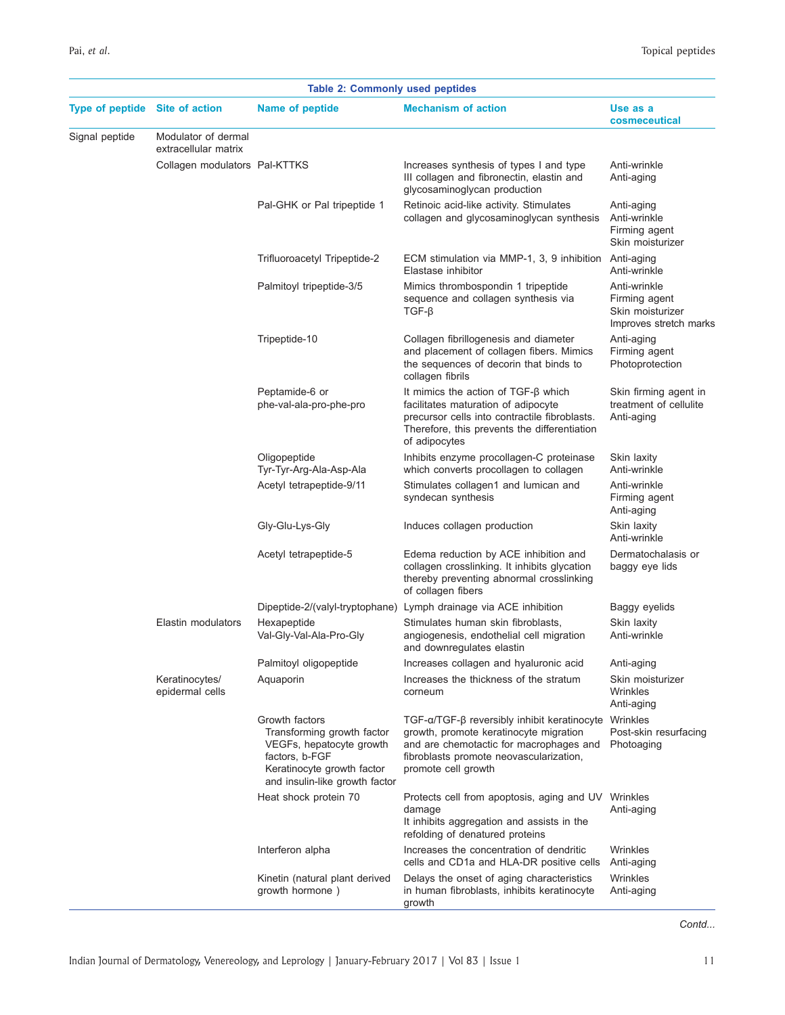| <b>Table 2: Commonly used peptides</b> |                                             |                                                                                                                                                            |                                                                                                                                                                                                               |                                                                             |
|----------------------------------------|---------------------------------------------|------------------------------------------------------------------------------------------------------------------------------------------------------------|---------------------------------------------------------------------------------------------------------------------------------------------------------------------------------------------------------------|-----------------------------------------------------------------------------|
| <b>Type of peptide</b>                 | Site of action                              | Name of peptide                                                                                                                                            | <b>Mechanism of action</b>                                                                                                                                                                                    | Use as a<br>cosmeceutical                                                   |
| Signal peptide                         | Modulator of dermal<br>extracellular matrix |                                                                                                                                                            |                                                                                                                                                                                                               |                                                                             |
|                                        | Collagen modulators Pal-KTTKS               |                                                                                                                                                            | Increases synthesis of types I and type<br>III collagen and fibronectin, elastin and<br>glycosaminoglycan production                                                                                          | Anti-wrinkle<br>Anti-aging                                                  |
|                                        |                                             | Pal-GHK or Pal tripeptide 1                                                                                                                                | Retinoic acid-like activity. Stimulates<br>collagen and glycosaminoglycan synthesis                                                                                                                           | Anti-aging<br>Anti-wrinkle<br>Firming agent<br>Skin moisturizer             |
|                                        |                                             | Trifluoroacetyl Tripeptide-2                                                                                                                               | ECM stimulation via MMP-1, 3, 9 inhibition<br>Elastase inhibitor                                                                                                                                              | Anti-aging<br>Anti-wrinkle                                                  |
|                                        |                                             | Palmitoyl tripeptide-3/5                                                                                                                                   | Mimics thrombospondin 1 tripeptide<br>sequence and collagen synthesis via<br>$TGF-\beta$                                                                                                                      | Anti-wrinkle<br>Firming agent<br>Skin moisturizer<br>Improves stretch marks |
|                                        |                                             | Tripeptide-10                                                                                                                                              | Collagen fibrillogenesis and diameter<br>and placement of collagen fibers. Mimics<br>the sequences of decorin that binds to<br>collagen fibrils                                                               | Anti-aging<br>Firming agent<br>Photoprotection                              |
|                                        |                                             | Peptamide-6 or<br>phe-val-ala-pro-phe-pro                                                                                                                  | It mimics the action of $TGF-\beta$ which<br>facilitates maturation of adipocyte<br>precursor cells into contractile fibroblasts.<br>Therefore, this prevents the differentiation<br>of adipocytes            | Skin firming agent in<br>treatment of cellulite<br>Anti-aging               |
|                                        |                                             | Oligopeptide<br>Tyr-Tyr-Arg-Ala-Asp-Ala                                                                                                                    | Inhibits enzyme procollagen-C proteinase<br>which converts procollagen to collagen                                                                                                                            | Skin laxity<br>Anti-wrinkle                                                 |
|                                        |                                             | Acetyl tetrapeptide-9/11                                                                                                                                   | Stimulates collagen1 and lumican and<br>syndecan synthesis                                                                                                                                                    | Anti-wrinkle<br>Firming agent<br>Anti-aging                                 |
|                                        |                                             | Gly-Glu-Lys-Gly                                                                                                                                            | Induces collagen production                                                                                                                                                                                   | Skin laxity<br>Anti-wrinkle                                                 |
|                                        |                                             | Acetyl tetrapeptide-5                                                                                                                                      | Edema reduction by ACE inhibition and<br>collagen crosslinking. It inhibits glycation<br>thereby preventing abnormal crosslinking<br>of collagen fibers                                                       | Dermatochalasis or<br>baggy eye lids                                        |
|                                        | Elastin modulators                          | Hexapeptide<br>Val-Gly-Val-Ala-Pro-Gly                                                                                                                     | Dipeptide-2/(valyl-tryptophane) Lymph drainage via ACE inhibition<br>Stimulates human skin fibroblasts,<br>angiogenesis, endothelial cell migration<br>and downregulates elastin                              | Baggy eyelids<br>Skin laxity<br>Anti-wrinkle                                |
|                                        |                                             | Palmitoyl oligopeptide                                                                                                                                     | Increases collagen and hyaluronic acid                                                                                                                                                                        | Anti-aging                                                                  |
|                                        | Keratinocytes/<br>epidermal cells           | Aquaporin                                                                                                                                                  | Increases the thickness of the stratum<br>corneum                                                                                                                                                             | Skin moisturizer<br>Wrinkles<br>Anti-aging                                  |
|                                        |                                             | Growth factors<br>Transforming growth factor<br>VEGFs, hepatocyte growth<br>factors, b-FGF<br>Keratinocyte growth factor<br>and insulin-like growth factor | $TGF-\alpha/TGF-\beta$ reversibly inhibit keratinocyte<br>growth, promote keratinocyte migration<br>and are chemotactic for macrophages and<br>fibroblasts promote neovascularization,<br>promote cell growth | Wrinkles<br>Post-skin resurfacing<br>Photoaging                             |
|                                        |                                             | Heat shock protein 70                                                                                                                                      | Protects cell from apoptosis, aging and UV<br>damage<br>It inhibits aggregation and assists in the<br>refolding of denatured proteins                                                                         | Wrinkles<br>Anti-aging                                                      |
|                                        |                                             | Interferon alpha                                                                                                                                           | Increases the concentration of dendritic<br>cells and CD1a and HLA-DR positive cells                                                                                                                          | Wrinkles<br>Anti-aging                                                      |
|                                        |                                             | Kinetin (natural plant derived<br>growth hormone)                                                                                                          | Delays the onset of aging characteristics<br>in human fibroblasts, inhibits keratinocyte<br>growth                                                                                                            | Wrinkles<br>Anti-aging                                                      |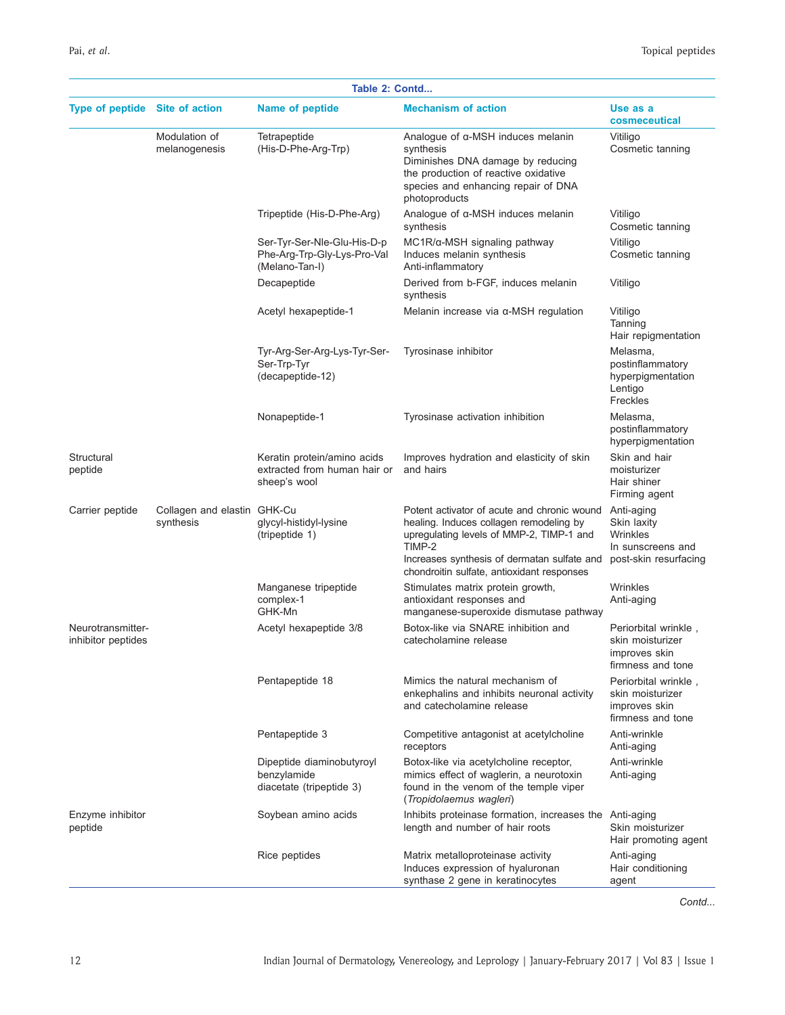| Table 2: Contd                          |                                          |                                                                              |                                                                                                                                                                                                                                           |                                                                                     |
|-----------------------------------------|------------------------------------------|------------------------------------------------------------------------------|-------------------------------------------------------------------------------------------------------------------------------------------------------------------------------------------------------------------------------------------|-------------------------------------------------------------------------------------|
| <b>Type of peptide</b>                  | Site of action                           | Name of peptide                                                              | <b>Mechanism of action</b>                                                                                                                                                                                                                | Use as a<br>cosmeceutical                                                           |
|                                         | Modulation of<br>melanogenesis           | Tetrapeptide<br>(His-D-Phe-Arg-Trp)                                          | Analogue of $\alpha$ -MSH induces melanin<br>synthesis<br>Diminishes DNA damage by reducing<br>the production of reactive oxidative<br>species and enhancing repair of DNA<br>photoproducts                                               | Vitiligo<br>Cosmetic tanning                                                        |
|                                         |                                          | Tripeptide (His-D-Phe-Arg)                                                   | Analogue of α-MSH induces melanin<br>synthesis                                                                                                                                                                                            | Vitiligo<br>Cosmetic tanning                                                        |
|                                         |                                          | Ser-Tyr-Ser-Nle-Glu-His-D-p<br>Phe-Arg-Trp-Gly-Lys-Pro-Val<br>(Melano-Tan-I) | $MC1R/\alpha$ -MSH signaling pathway<br>Induces melanin synthesis<br>Anti-inflammatory                                                                                                                                                    | Vitiligo<br>Cosmetic tanning                                                        |
|                                         |                                          | Decapeptide                                                                  | Derived from b-FGF, induces melanin<br>synthesis                                                                                                                                                                                          | Vitiligo                                                                            |
|                                         |                                          | Acetyl hexapeptide-1                                                         | Melanin increase via $\alpha$ -MSH regulation                                                                                                                                                                                             | Vitiligo<br>Tanning<br>Hair repigmentation                                          |
|                                         |                                          | Tyr-Arg-Ser-Arg-Lys-Tyr-Ser-<br>Ser-Trp-Tyr<br>(decapeptide-12)              | Tyrosinase inhibitor                                                                                                                                                                                                                      | Melasma,<br>postinflammatory<br>hyperpigmentation<br>Lentigo<br>Freckles            |
|                                         |                                          | Nonapeptide-1                                                                | Tyrosinase activation inhibition                                                                                                                                                                                                          | Melasma,<br>postinflammatory<br>hyperpigmentation                                   |
| Structural<br>peptide                   |                                          | Keratin protein/amino acids<br>extracted from human hair or<br>sheep's wool  | Improves hydration and elasticity of skin<br>and hairs                                                                                                                                                                                    | Skin and hair<br>moisturizer<br>Hair shiner<br>Firming agent                        |
| Carrier peptide                         | Collagen and elastin GHK-Cu<br>synthesis | glycyl-histidyl-lysine<br>(tripeptide 1)                                     | Potent activator of acute and chronic wound<br>healing. Induces collagen remodeling by<br>upregulating levels of MMP-2, TIMP-1 and<br>TIMP-2<br>Increases synthesis of dermatan sulfate and<br>chondroitin sulfate, antioxidant responses | Anti-aging<br>Skin laxity<br>Wrinkles<br>In sunscreens and<br>post-skin resurfacing |
|                                         |                                          | Manganese tripeptide<br>complex-1<br>GHK-Mn                                  | Stimulates matrix protein growth,<br>antioxidant responses and<br>manganese-superoxide dismutase pathway                                                                                                                                  | Wrinkles<br>Anti-aging                                                              |
| Neurotransmitter-<br>inhibitor peptides |                                          | Acetyl hexapeptide 3/8                                                       | Botox-like via SNARE inhibition and<br>catecholamine release                                                                                                                                                                              | Periorbital wrinkle,<br>skin moisturizer<br>improves skin<br>firmness and tone      |
|                                         |                                          | Pentapeptide 18                                                              | Mimics the natural mechanism of<br>enkephalins and inhibits neuronal activity<br>and catecholamine release                                                                                                                                | Periorbital wrinkle,<br>skin moisturizer<br>improves skin<br>firmness and tone      |
|                                         |                                          | Pentapeptide 3                                                               | Competitive antagonist at acetylcholine<br>receptors                                                                                                                                                                                      | Anti-wrinkle<br>Anti-aging                                                          |
|                                         |                                          | Dipeptide diaminobutyroyl<br>benzylamide<br>diacetate (tripeptide 3)         | Botox-like via acetylcholine receptor,<br>mimics effect of waglerin, a neurotoxin<br>found in the venom of the temple viper<br>(Tropidolaemus wagleri)                                                                                    | Anti-wrinkle<br>Anti-aging                                                          |
| Enzyme inhibitor<br>peptide             |                                          | Soybean amino acids                                                          | Inhibits proteinase formation, increases the Anti-aging<br>length and number of hair roots                                                                                                                                                | Skin moisturizer<br>Hair promoting agent                                            |
|                                         |                                          | Rice peptides                                                                | Matrix metalloproteinase activity<br>Induces expression of hyaluronan<br>synthase 2 gene in keratinocytes                                                                                                                                 | Anti-aging<br>Hair conditioning<br>agent                                            |

*Contd...*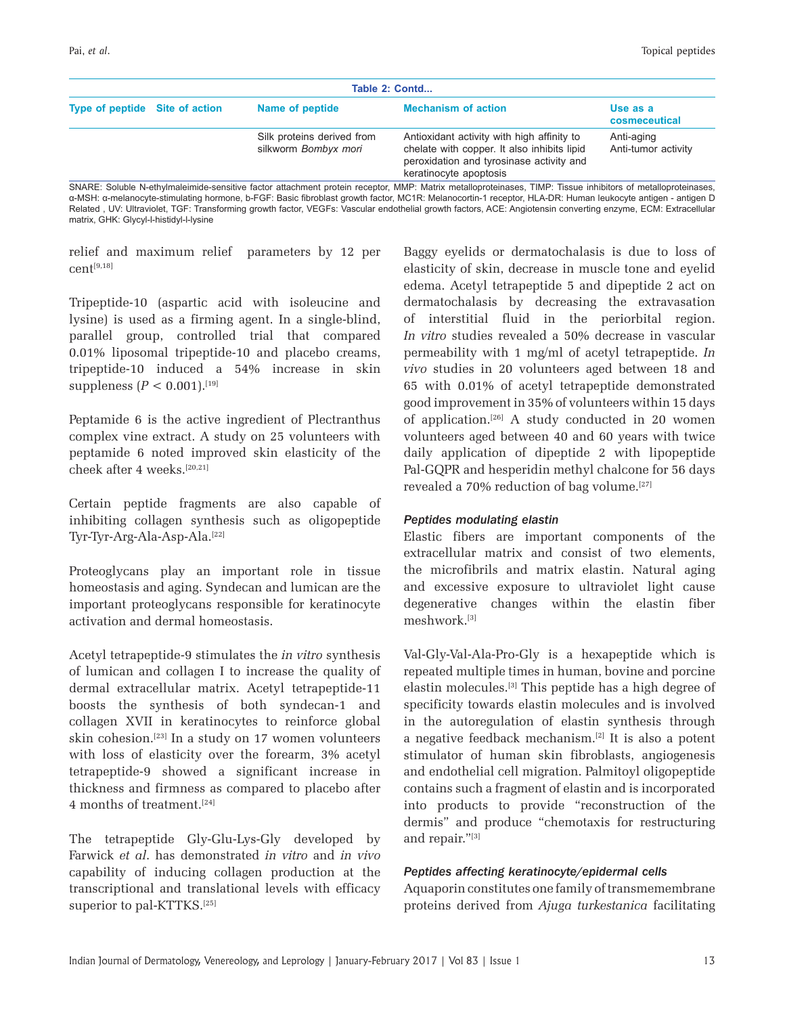| Table 2: Contd                 |  |                                                    |                                                                                                                                                                 |                                   |
|--------------------------------|--|----------------------------------------------------|-----------------------------------------------------------------------------------------------------------------------------------------------------------------|-----------------------------------|
| Type of peptide Site of action |  | Name of peptide                                    | <b>Mechanism of action</b>                                                                                                                                      | Use as a<br>cosmeceutical         |
|                                |  | Silk proteins derived from<br>silkworm Bombyx mori | Antioxidant activity with high affinity to<br>chelate with copper. It also inhibits lipid<br>peroxidation and tyrosinase activity and<br>keratinocyte apoptosis | Anti-aging<br>Anti-tumor activity |

SNARE: Soluble N-ethylmaleimide-sensitive factor attachment protein receptor, MMP: Matrix metalloproteinases, TIMP: Tissue inhibitors of metalloproteinases, α-MSH: α-melanocyte-stimulating hormone, b-FGF: Basic fibroblast growth factor, MC1R: Melanocortin-1 receptor, HLA-DR: Human leukocyte antigen - antigen D Related , UV: Ultraviolet, TGF: Transforming growth factor, VEGFs: Vascular endothelial growth factors, ACE: Angiotensin converting enzyme, ECM: Extracellular matrix, GHK: Glycyl-l-histidyl-l-lysine

relief and maximum relief parameters by 12 per cent[9,18]

Tripeptide-10 (aspartic acid with isoleucine and lysine) is used as a firming agent. In a single-blind, parallel group, controlled trial that compared 0.01% liposomal tripeptide-10 and placebo creams, tripeptide-10 induced a 54% increase in skin suppleness  $(P < 0.001).$ <sup>[19]</sup>

Peptamide 6 is the active ingredient of Plectranthus complex vine extract. A study on 25 volunteers with peptamide 6 noted improved skin elasticity of the cheek after 4 weeks.[20,21]

Certain peptide fragments are also capable of inhibiting collagen synthesis such as oligopeptide Tyr-Tyr-Arg-Ala-Asp-Ala.[22]

Proteoglycans play an important role in tissue homeostasis and aging. Syndecan and lumican are the important proteoglycans responsible for keratinocyte activation and dermal homeostasis.

Acetyl tetrapeptide-9 stimulates the *in vitro* synthesis of lumican and collagen I to increase the quality of dermal extracellular matrix. Acetyl tetrapeptide-11 boosts the synthesis of both syndecan-1 and collagen XVII in keratinocytes to reinforce global skin cohesion.[23] In a study on 17 women volunteers with loss of elasticity over the forearm, 3% acetyl tetrapeptide-9 showed a significant increase in thickness and firmness as compared to placebo after 4 months of treatment.[24]

The tetrapeptide Gly-Glu-Lys-Gly developed by Farwick *et al*. has demonstrated *in vitro* and *in vivo*  capability of inducing collagen production at the transcriptional and translational levels with efficacy superior to pal-KTTKS.<sup>[25]</sup>

Baggy eyelids or dermatochalasis is due to loss of elasticity of skin, decrease in muscle tone and eyelid edema. Acetyl tetrapeptide 5 and dipeptide 2 act on dermatochalasis by decreasing the extravasation of interstitial fluid in the periorbital region. *In vitro* studies revealed a 50% decrease in vascular permeability with 1 mg/ml of acetyl tetrapeptide. *In vivo* studies in 20 volunteers aged between 18 and 65 with 0.01% of acetyl tetrapeptide demonstrated good improvement in 35% of volunteers within 15 days of application.[26] A study conducted in 20 women volunteers aged between 40 and 60 years with twice daily application of dipeptide 2 with lipopeptide Pal-GQPR and hesperidin methyl chalcone for 56 days revealed a 70% reduction of bag volume.<sup>[27]</sup>

# *Peptides modulating elastin*

Elastic fibers are important components of the extracellular matrix and consist of two elements, the microfibrils and matrix elastin. Natural aging and excessive exposure to ultraviolet light cause degenerative changes within the elastin fiber meshwork.[3]

Val-Gly-Val-Ala-Pro-Gly is a hexapeptide which is repeated multiple times in human, bovine and porcine elastin molecules.[3] This peptide has a high degree of specificity towards elastin molecules and is involved in the autoregulation of elastin synthesis through a negative feedback mechanism.[2] It is also a potent stimulator of human skin fibroblasts, angiogenesis and endothelial cell migration. Palmitoyl oligopeptide contains such a fragment of elastin and is incorporated into products to provide "reconstruction of the dermis" and produce "chemotaxis for restructuring and repair."[3]

# *Peptides affecting keratinocyte/epidermal cells*

Aquaporin constitutes one family of transmemembrane proteins derived from *Ajuga turkestanica* facilitating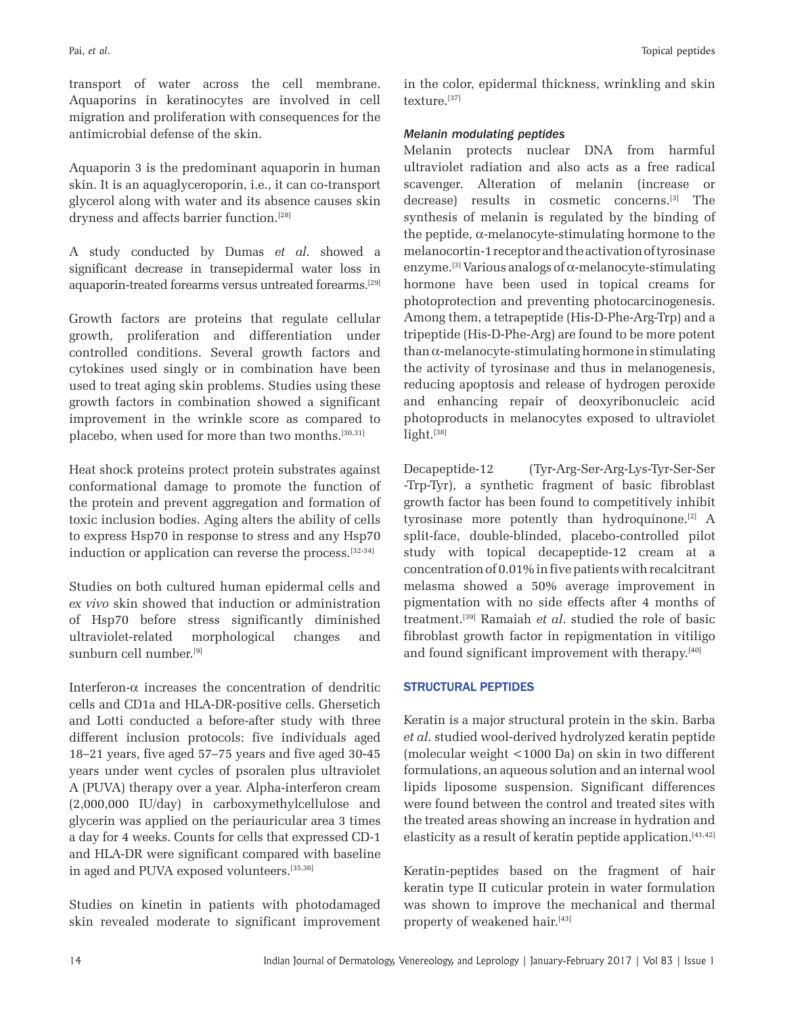transport of water across the cell membrane. Aquaporins in keratinocytes are involved in cell migration and proliferation with consequences for the antimicrobial defense of the skin.

Aquaporin 3 is the predominant aquaporin in human skin. It is an aquaglyceroporin, i.e., it can co-transport glycerol along with water and its absence causes skin dryness and affects barrier function.<sup>[28]</sup>

A study conducted by Dumas *et al*. showed a significant decrease in transepidermal water loss in aquaporin-treated forearms versus untreated forearms.[29]

Growth factors are proteins that regulate cellular growth, proliferation and differentiation under controlled conditions. Several growth factors and cytokines used singly or in combination have been used to treat aging skin problems. Studies using these growth factors in combination showed a significant improvement in the wrinkle score as compared to placebo, when used for more than two months.<sup>[30,31]</sup>

Heat shock proteins protect protein substrates against conformational damage to promote the function of the protein and prevent aggregation and formation of toxic inclusion bodies. Aging alters the ability of cells to express Hsp70 in response to stress and any Hsp70 induction or application can reverse the process.<sup>[32-34]</sup>

Studies on both cultured human epidermal cells and *ex vivo* skin showed that induction or administration of Hsp70 before stress significantly diminished ultraviolet-related morphological changes and sunburn cell number.[9]

Interferon- $\alpha$  increases the concentration of dendritic cells and CD1a and HLA-DR-positive cells. Ghersetich and Lotti conducted a before-after study with three different inclusion protocols: five individuals aged 18–21 years, five aged 57–75 years and five aged 30-45 years under went cycles of psoralen plus ultraviolet A (PUVA) therapy over a year. Alpha-interferon cream (2,000,000 IU/day) in carboxymethylcellulose and glycerin was applied on the periauricular area 3 times a day for 4 weeks. Counts for cells that expressed CD-1 and HLA-DR were significant compared with baseline in aged and PUVA exposed volunteers.[35,36]

Studies on kinetin in patients with photodamaged skin revealed moderate to significant improvement in the color, epidermal thickness, wrinkling and skin texture.[37]

# *Melanin modulating peptides*

Melanin protects nuclear DNA from harmful ultraviolet radiation and also acts as a free radical scavenger. Alteration of melanin (increase or decrease) results in cosmetic concerns.[3] The synthesis of melanin is regulated by the binding of the peptide, α-melanocyte-stimulating hormone to the melanocortin-1 receptor and the activation of tyrosinase enzyme.<sup>[3]</sup> Various analogs of  $\alpha$ -melanocyte-stimulating hormone have been used in topical creams for photoprotection and preventing photocarcinogenesis. Among them, a tetrapeptide (His-D-Phe-Arg-Trp) and a tripeptide (His-D-Phe-Arg) are found to be more potent  $than \alpha$ -melanocyte-stimulating hormone in stimulating the activity of tyrosinase and thus in melanogenesis, reducing apoptosis and release of hydrogen peroxide and enhancing repair of deoxyribonucleic acid photoproducts in melanocytes exposed to ultraviolet light.[38]

Decapeptide-12 (Tyr-Arg-Ser-Arg-Lys-Tyr-Ser-Ser -Trp-Tyr), a synthetic fragment of basic fibroblast growth factor has been found to competitively inhibit tyrosinase more potently than hydroquinone.[2] A split-face, double-blinded, placebo-controlled pilot study with topical decapeptide-12 cream at a concentration of 0.01% in five patients with recalcitrant melasma showed a 50% average improvement in pigmentation with no side effects after 4 months of treatment.[39] Ramaiah *et al*. studied the role of basic fibroblast growth factor in repigmentation in vitiligo and found significant improvement with therapy.<sup>[40]</sup>

# **STRUCTURAL PEPTIDES**

Keratin is a major structural protein in the skin. Barba *et al*. studied wool-derived hydrolyzed keratin peptide (molecular weight <1000 Da) on skin in two different formulations, an aqueous solution and an internal wool lipids liposome suspension. Significant differences were found between the control and treated sites with the treated areas showing an increase in hydration and elasticity as a result of keratin peptide application.<sup>[41,42]</sup>

Keratin-peptides based on the fragment of hair keratin type II cuticular protein in water formulation was shown to improve the mechanical and thermal property of weakened hair.[43]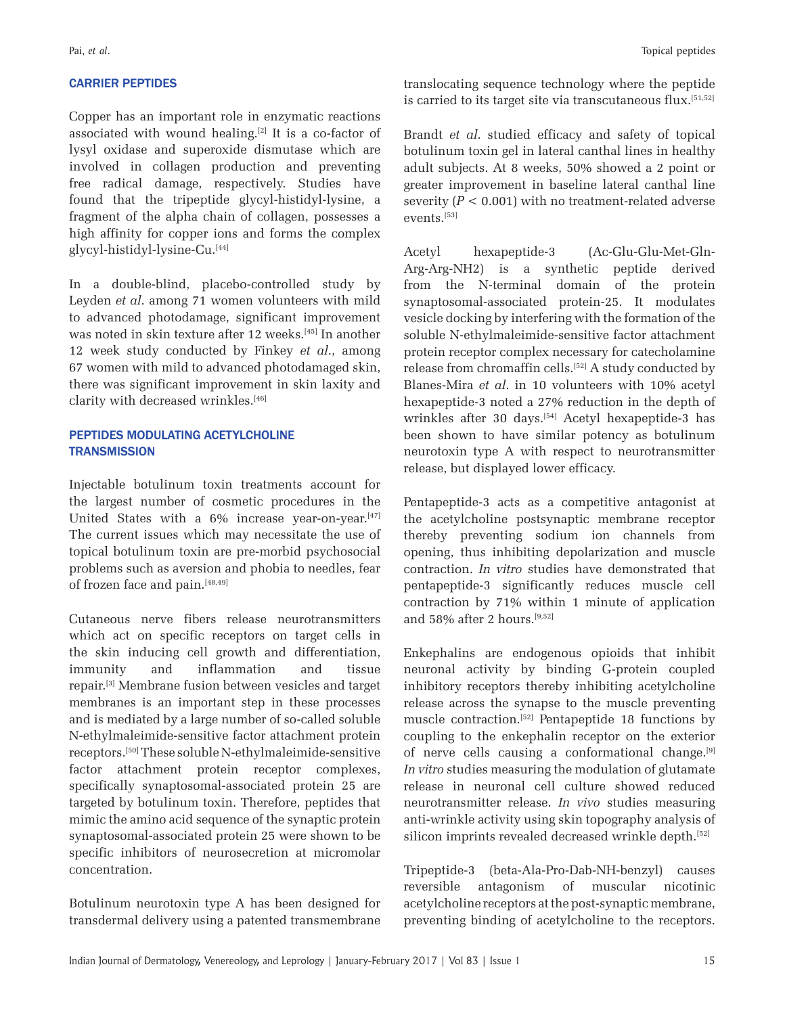### **CARRIER PEPTIDES**

Copper has an important role in enzymatic reactions associated with wound healing.[2] It is a co-factor of lysyl oxidase and superoxide dismutase which are involved in collagen production and preventing free radical damage, respectively. Studies have found that the tripeptide glycyl-histidyl-lysine, a fragment of the alpha chain of collagen, possesses a high affinity for copper ions and forms the complex glycyl-histidyl-lysine-Cu.[44]

In a double-blind, placebo-controlled study by Leyden *et al*. among 71 women volunteers with mild to advanced photodamage, significant improvement was noted in skin texture after 12 weeks.<sup>[45]</sup> In another 12 week study conducted by Finkey *et al*., among 67 women with mild to advanced photodamaged skin, there was significant improvement in skin laxity and clarity with decreased wrinkles.<sup>[46]</sup>

# PEPTIDES MODULATING ACETYLCHOLINE **TRANSMISSION**

Injectable botulinum toxin treatments account for the largest number of cosmetic procedures in the United States with a 6% increase year-on-year.<sup>[47]</sup> The current issues which may necessitate the use of topical botulinum toxin are pre-morbid psychosocial problems such as aversion and phobia to needles, fear of frozen face and pain.[48,49]

Cutaneous nerve fibers release neurotransmitters which act on specific receptors on target cells in the skin inducing cell growth and differentiation, immunity and inflammation and tissue repair.[3] Membrane fusion between vesicles and target membranes is an important step in these processes and is mediated by a large number of so-called soluble N-ethylmaleimide-sensitive factor attachment protein receptors.[50] These soluble N-ethylmaleimide-sensitive factor attachment protein receptor complexes, specifically synaptosomal-associated protein 25 are targeted by botulinum toxin. Therefore, peptides that mimic the amino acid sequence of the synaptic protein synaptosomal-associated protein 25 were shown to be specific inhibitors of neurosecretion at micromolar concentration.

Botulinum neurotoxin type A has been designed for transdermal delivery using a patented transmembrane translocating sequence technology where the peptide is carried to its target site via transcutaneous flux.<sup>[51,52]</sup>

Brandt *et al*. studied efficacy and safety of topical botulinum toxin gel in lateral canthal lines in healthy adult subjects. At 8 weeks, 50% showed a 2 point or greater improvement in baseline lateral canthal line severity  $(P < 0.001)$  with no treatment-related adverse events.[53]

Acetyl hexapeptide-3 (Ac-Glu-Glu-Met-Gln-Arg-Arg-NH2) is a synthetic peptide derived from the N-terminal domain of the protein synaptosomal-associated protein-25. It modulates vesicle docking by interfering with the formation of the soluble N-ethylmaleimide-sensitive factor attachment protein receptor complex necessary for catecholamine release from chromaffin cells.<sup>[52]</sup> A study conducted by Blanes-Mira *et al*. in 10 volunteers with 10% acetyl hexapeptide-3 noted a 27% reduction in the depth of wrinkles after 30 days.[54] Acetyl hexapeptide-3 has been shown to have similar potency as botulinum neurotoxin type A with respect to neurotransmitter release, but displayed lower efficacy.

Pentapeptide-3 acts as a competitive antagonist at the acetylcholine postsynaptic membrane receptor thereby preventing sodium ion channels from opening, thus inhibiting depolarization and muscle contraction. *In vitro* studies have demonstrated that pentapeptide-3 significantly reduces muscle cell contraction by 71% within 1 minute of application and 58% after 2 hours.[9,52]

Enkephalins are endogenous opioids that inhibit neuronal activity by binding G-protein coupled inhibitory receptors thereby inhibiting acetylcholine release across the synapse to the muscle preventing muscle contraction.[52] Pentapeptide 18 functions by coupling to the enkephalin receptor on the exterior of nerve cells causing a conformational change.[9] *In vitro* studies measuring the modulation of glutamate release in neuronal cell culture showed reduced neurotransmitter release. *In vivo* studies measuring anti-wrinkle activity using skin topography analysis of silicon imprints revealed decreased wrinkle depth.<sup>[52]</sup>

Tripeptide-3 (beta-Ala-Pro-Dab-NH-benzyl) causes reversible antagonism of muscular nicotinic acetylcholine receptors at the post-synaptic membrane, preventing binding of acetylcholine to the receptors.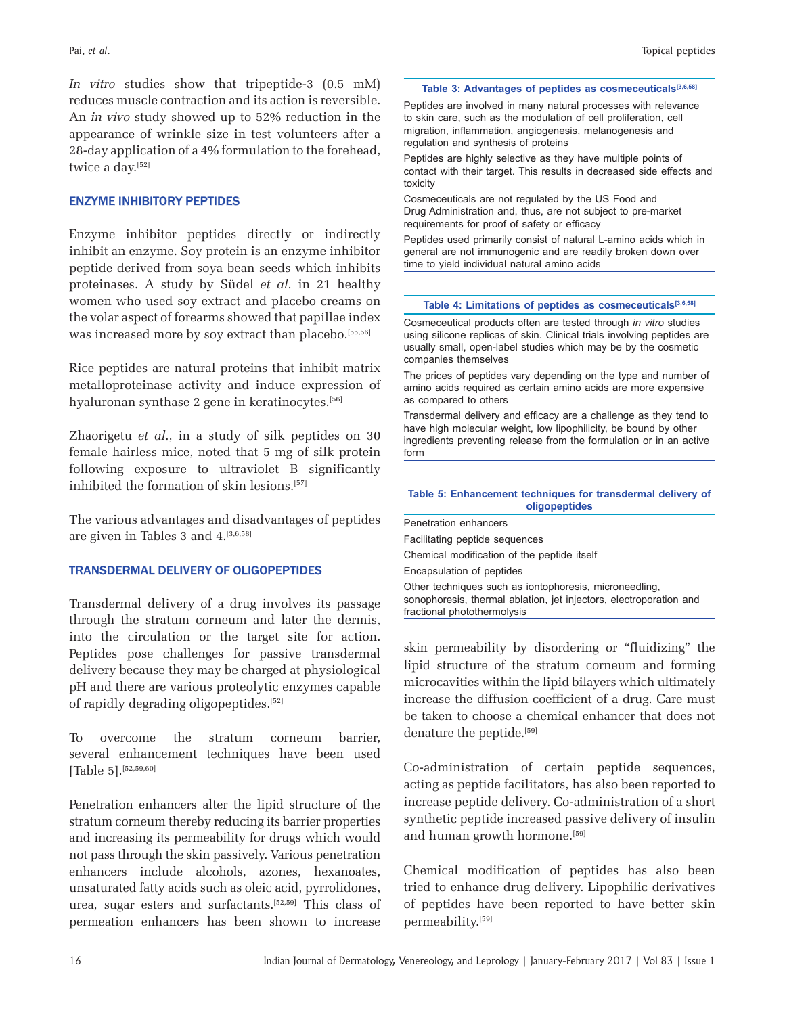*In vitro* studies show that tripeptide-3 (0.5 mM) reduces muscle contraction and its action is reversible. An *in vivo* study showed up to 52% reduction in the appearance of wrinkle size in test volunteers after a 28-day application of a 4% formulation to the forehead, twice a day.<sup>[52]</sup>

# **ENZYME INHIBITORY PEPTIDES**

Enzyme inhibitor peptides directly or indirectly inhibit an enzyme. Soy protein is an enzyme inhibitor peptide derived from soya bean seeds which inhibits proteinases. A study by Südel *et al*. in 21 healthy women who used soy extract and placebo creams on the volar aspect of forearms showed that papillae index was increased more by soy extract than placebo.<sup>[55,56]</sup>

Rice peptides are natural proteins that inhibit matrix metalloproteinase activity and induce expression of hyaluronan synthase 2 gene in keratinocytes.<sup>[56]</sup>

Zhaorigetu *et al*., in a study of silk peptides on 30 female hairless mice, noted that 5 mg of silk protein following exposure to ultraviolet B significantly inhibited the formation of skin lesions.<sup>[57]</sup>

The various advantages and disadvantages of peptides are given in Tables 3 and 4.[3,6,58]

# TRANSDERMAL DELIVERY OF OLIGOPEPTIDES

Transdermal delivery of a drug involves its passage through the stratum corneum and later the dermis, into the circulation or the target site for action. Peptides pose challenges for passive transdermal delivery because they may be charged at physiological pH and there are various proteolytic enzymes capable of rapidly degrading oligopeptides.[52]

To overcome the stratum corneum barrier, several enhancement techniques have been used [Table 5].<sup>[52,59,60]</sup>

Penetration enhancers alter the lipid structure of the stratum corneum thereby reducing its barrier properties and increasing its permeability for drugs which would not pass through the skin passively. Various penetration enhancers include alcohols, azones, hexanoates, unsaturated fatty acids such as oleic acid, pyrrolidones, urea, sugar esters and surfactants.[52,59] This class of permeation enhancers has been shown to increase

#### **Table 3: Advantages of peptides as cosmeceuticals[3,6,58]**

Peptides are involved in many natural processes with relevance to skin care, such as the modulation of cell proliferation, cell migration, inflammation, angiogenesis, melanogenesis and regulation and synthesis of proteins

Peptides are highly selective as they have multiple points of contact with their target. This results in decreased side effects and toxicity

Cosmeceuticals are not regulated by the US Food and Drug Administration and, thus, are not subject to pre-market requirements for proof of safety or efficacy

Peptides used primarily consist of natural L-amino acids which in general are not immunogenic and are readily broken down over time to yield individual natural amino acids

#### **Table 4: Limitations of peptides as cosmeceuticals[3,6,58]**

Cosmeceutical products often are tested through *in vitro* studies using silicone replicas of skin. Clinical trials involving peptides are usually small, open-label studies which may be by the cosmetic companies themselves

The prices of peptides vary depending on the type and number of amino acids required as certain amino acids are more expensive as compared to others

Transdermal delivery and efficacy are a challenge as they tend to have high molecular weight, low lipophilicity, be bound by other ingredients preventing release from the formulation or in an active form

**Table 5: Enhancement techniques for transdermal delivery of oligopeptides**

| Penetration enhancers                                                                                                                                       |
|-------------------------------------------------------------------------------------------------------------------------------------------------------------|
| Facilitating peptide sequences                                                                                                                              |
| Chemical modification of the peptide itself                                                                                                                 |
| Encapsulation of peptides                                                                                                                                   |
| Other techniques such as iontophoresis, microneedling,<br>sonophoresis, thermal ablation, jet injectors, electroporation and<br>fractional photothermolysis |

skin permeability by disordering or "fluidizing" the lipid structure of the stratum corneum and forming microcavities within the lipid bilayers which ultimately increase the diffusion coefficient of a drug. Care must be taken to choose a chemical enhancer that does not denature the peptide.<sup>[59]</sup>

Co-administration of certain peptide sequences, acting as peptide facilitators, has also been reported to increase peptide delivery. Co-administration of a short synthetic peptide increased passive delivery of insulin and human growth hormone.<sup>[59]</sup>

Chemical modification of peptides has also been tried to enhance drug delivery. Lipophilic derivatives of peptides have been reported to have better skin permeability.[59]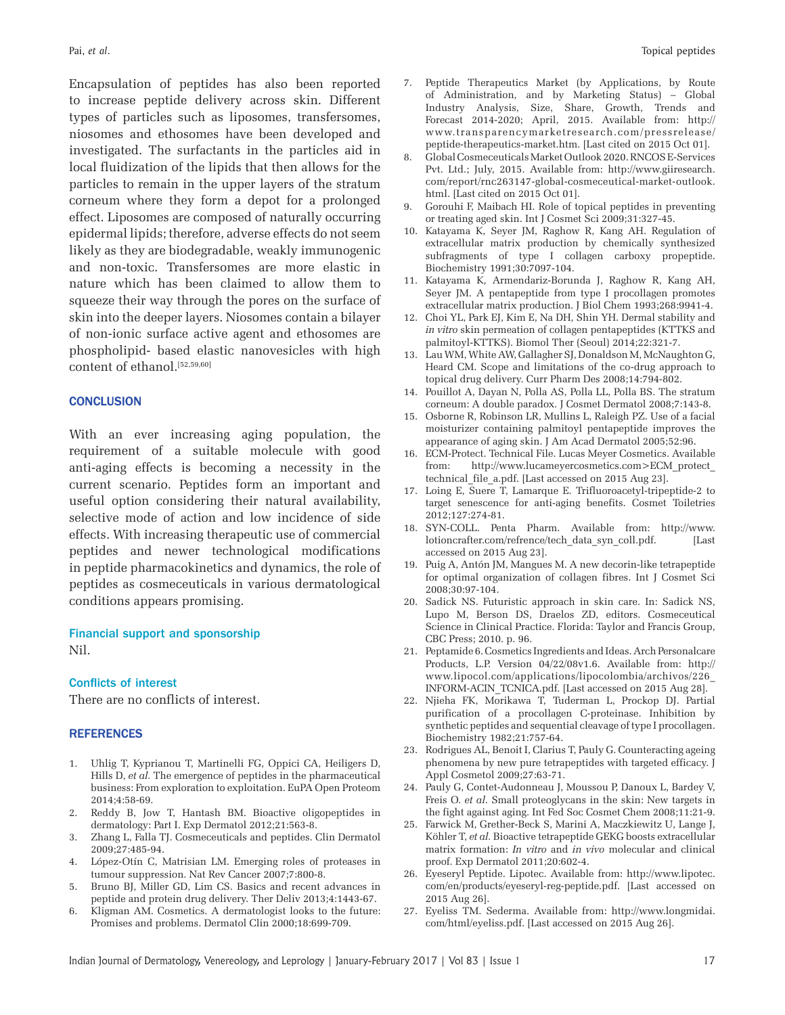Encapsulation of peptides has also been reported to increase peptide delivery across skin. Different types of particles such as liposomes, transfersomes, niosomes and ethosomes have been developed and investigated. The surfactants in the particles aid in local fluidization of the lipids that then allows for the particles to remain in the upper layers of the stratum corneum where they form a depot for a prolonged effect. Liposomes are composed of naturally occurring epidermal lipids; therefore, adverse effects do not seem likely as they are biodegradable, weakly immunogenic and non-toxic. Transfersomes are more elastic in nature which has been claimed to allow them to squeeze their way through the pores on the surface of skin into the deeper layers. Niosomes contain a bilayer of non-ionic surface active agent and ethosomes are phospholipid- based elastic nanovesicles with high content of ethanol.<sup>[52,59,60]</sup>

# **CONCLUSION**

With an ever increasing aging population, the requirement of a suitable molecule with good anti-aging effects is becoming a necessity in the current scenario. Peptides form an important and useful option considering their natural availability, selective mode of action and low incidence of side effects. With increasing therapeutic use of commercial peptides and newer technological modifications in peptide pharmacokinetics and dynamics, the role of peptides as cosmeceuticals in various dermatological conditions appears promising.

### Financial support and sponsorship Nil.

#### **Conflicts of interest**

There are no conflicts of interest.

#### **REFERENCES**

- 1. Uhlig T, Kyprianou T, Martinelli FG, Oppici CA, Heiligers D, Hills D, *et al.* The emergence of peptides in the pharmaceutical business: From exploration to exploitation. EuPA Open Proteom 2014;4:58-69.
- 2. Reddy B, Jow T, Hantash BM. Bioactive oligopeptides in dermatology: Part I. Exp Dermatol 2012;21:563-8.
- 3. Zhang L, Falla TJ. Cosmeceuticals and peptides. Clin Dermatol 2009;27:485-94.
- 4. López-Otín C, Matrisian LM. Emerging roles of proteases in tumour suppression. Nat Rev Cancer 2007;7:800-8.
- 5. Bruno BJ, Miller GD, Lim CS. Basics and recent advances in peptide and protein drug delivery. Ther Deliv 2013;4:1443-67.
- 6. Kligman AM. Cosmetics. A dermatologist looks to the future: Promises and problems. Dermatol Clin 2000;18:699-709.
- 7. Peptide Therapeutics Market (by Applications, by Route of Administration, and by Marketing Status) – Global Industry Analysis, Size, Share, Growth, Trends and Forecast 2014-2020; April, 2015. Available from: http:// www.transparencymarketresearch.com/pressrelease/ peptide-therapeutics-market.htm. [Last cited on 2015 Oct 01].
- 8. Global Cosmeceuticals Market Outlook 2020. RNCOS E-Services Pvt. Ltd.; July, 2015. Available from: http://www.giiresearch. com/report/rnc263147-global-cosmeceutical-market-outlook. html. [Last cited on 2015 Oct 01].
- 9. Gorouhi F, Maibach HI. Role of topical peptides in preventing or treating aged skin. Int J Cosmet Sci 2009;31:327-45.
- 10. Katayama K, Seyer JM, Raghow R, Kang AH. Regulation of extracellular matrix production by chemically synthesized subfragments of type I collagen carboxy propeptide. Biochemistry 1991;30:7097-104.
- 11. Katayama K, Armendariz-Borunda J, Raghow R, Kang AH, Seyer JM. A pentapeptide from type I procollagen promotes extracellular matrix production. J Biol Chem 1993;268:9941-4.
- 12. Choi YL, Park EJ, Kim E, Na DH, Shin YH. Dermal stability and *in vitro* skin permeation of collagen pentapeptides (KTTKS and palmitoyl-KTTKS). Biomol Ther (Seoul) 2014;22:321-7.
- 13. Lau WM, White AW, Gallagher SJ, Donaldson M, McNaughton G, Heard CM. Scope and limitations of the co-drug approach to topical drug delivery. Curr Pharm Des 2008;14:794-802.
- 14. Pouillot A, Dayan N, Polla AS, Polla LL, Polla BS. The stratum corneum: A double paradox. J Cosmet Dermatol 2008;7:143-8.
- 15. Osborne R, Robinson LR, Mullins L, Raleigh PZ. Use of a facial moisturizer containing palmitoyl pentapeptide improves the appearance of aging skin. J Am Acad Dermatol 2005;52:96.
- 16. ECM-Protect. Technical File. Lucas Meyer Cosmetics. Available from: http://www.lucameyercosmetics.com>ECM\_protect\_ technical\_file\_a.pdf. [Last accessed on 2015 Aug 23].
- 17. Loing E, Suere T, Lamarque E. Trifluoroacetyl-tripeptide-2 to target senescence for anti-aging benefits. Cosmet Toiletries 2012;127:274-81.
- 18. SYN-COLL. Penta Pharm. Available from: http://www. lotioncrafter.com/refrence/tech\_data\_syn\_coll.pdf. [Last accessed on 2015 Aug 23].
- 19. Puig A, Antón JM, Mangues M. A new decorin-like tetrapeptide for optimal organization of collagen fibres. Int J Cosmet Sci 2008;30:97-104.
- 20. Sadick NS. Futuristic approach in skin care. In: Sadick NS, Lupo M, Berson DS, Draelos ZD, editors. Cosmeceutical Science in Clinical Practice. Florida: Taylor and Francis Group, CBC Press; 2010. p. 96.
- 21. Peptamide 6. Cosmetics Ingredients and Ideas. Arch Personalcare Products, L.P. Version 04/22/08v1.6. Available from: http:// www.lipocol.com/applications/lipocolombia/archivos/226\_ INFORM-ACIN\_TCNICA.pdf. [Last accessed on 2015 Aug 28].
- 22. Njieha FK, Morikawa T, Tuderman L, Prockop DJ. Partial purification of a procollagen C-proteinase. Inhibition by synthetic peptides and sequential cleavage of type I procollagen. Biochemistry 1982;21:757-64.
- 23. Rodrigues AL, Benoit I, Clarius T, Pauly G. Counteracting ageing phenomena by new pure tetrapeptides with targeted efficacy. J Appl Cosmetol 2009;27:63-71.
- 24. Pauly G, Contet-Audonneau J, Moussou P, Danoux L, Bardey V, Freis O. *et al*. Small proteoglycans in the skin: New targets in the fight against aging. Int Fed Soc Cosmet Chem 2008;11:21-9.
- 25. Farwick M, Grether-Beck S, Marini A, Maczkiewitz U, Lange J, Köhler T, *et al.* Bioactive tetrapeptide GEKG boosts extracellular matrix formation: *In vitro* and *in vivo* molecular and clinical proof. Exp Dermatol 2011;20:602-4.
- 26. Eyeseryl Peptide. Lipotec. Available from: http://www.lipotec. com/en/products/eyeseryl-reg-peptide.pdf. [Last accessed on 2015 Aug 26].
- 27. Eyeliss TM. Sederma. Available from: http://www.longmidai. com/html/eyeliss.pdf. [Last accessed on 2015 Aug 26].